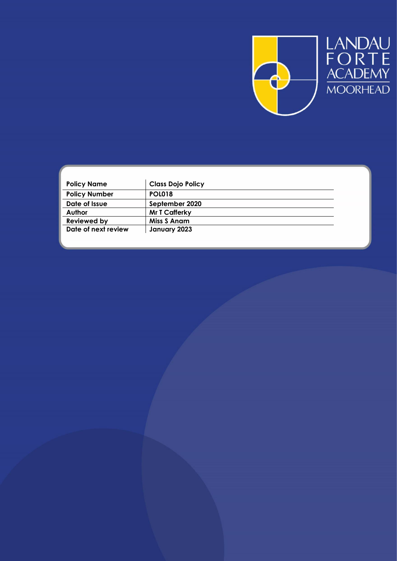

LANDAU<br>FORTE<br>ACADEMY<br>MOORHEAD

| <b>Policy Name</b>   | <b>Class Dojo Policy</b> |
|----------------------|--------------------------|
| <b>Policy Number</b> | <b>POL018</b>            |
| Date of Issue        | September 2020           |
| Author               | <b>Mr T Cafferky</b>     |
| <b>Reviewed by</b>   | <b>Miss S Anam</b>       |
| Date of next review  | January 2023             |
|                      |                          |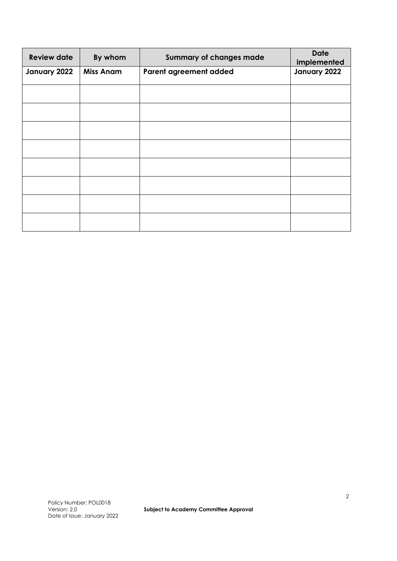| <b>Review date</b> | By whom          | <b>Summary of changes made</b> | <b>Date</b><br>implemented |
|--------------------|------------------|--------------------------------|----------------------------|
| January 2022       | <b>Miss Anam</b> | Parent agreement added         | January 2022               |
|                    |                  |                                |                            |
|                    |                  |                                |                            |
|                    |                  |                                |                            |
|                    |                  |                                |                            |
|                    |                  |                                |                            |
|                    |                  |                                |                            |
|                    |                  |                                |                            |
|                    |                  |                                |                            |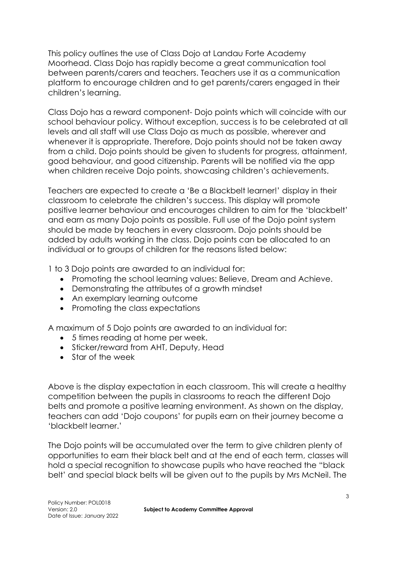This policy outlines the use of Class Dojo at Landau Forte Academy Moorhead. Class Dojo has rapidly become a great communication tool between parents/carers and teachers. Teachers use it as a communication platform to encourage children and to get parents/carers engaged in their children's learning.

Class Dojo has a reward component- Dojo points which will coincide with our school behaviour policy. Without exception, success is to be celebrated at all levels and all staff will use Class Dojo as much as possible, wherever and whenever it is appropriate. Therefore, Dojo points should not be taken away from a child. Dojo points should be given to students for progress, attainment, good behaviour, and good citizenship. Parents will be notified via the app when children receive Dojo points, showcasing children's achievements.

Teachers are expected to create a 'Be a Blackbelt learner!' display in their classroom to celebrate the children's success. This display will promote positive learner behaviour and encourages children to aim for the 'blackbelt' and earn as many Dojo points as possible. Full use of the Dojo point system should be made by teachers in every classroom. Dojo points should be added by adults working in the class. Dojo points can be allocated to an individual or to groups of children for the reasons listed below:

1 to 3 Dojo points are awarded to an individual for:

- Promoting the school learning values: Believe, Dream and Achieve.
- Demonstrating the attributes of a growth mindset
- An exemplary learning outcome
- Promoting the class expectations

A maximum of 5 Dojo points are awarded to an individual for:

- 5 times reading at home per week.
- Sticker/reward from AHT, Deputy, Head
- Star of the week

Above is the display expectation in each classroom. This will create a healthy competition between the pupils in classrooms to reach the different Dojo belts and promote a positive learning environment. As shown on the display, teachers can add 'Dojo coupons' for pupils earn on their journey become a 'blackbelt learner.'

The Dojo points will be accumulated over the term to give children plenty of opportunities to earn their black belt and at the end of each term, classes will hold a special recognition to showcase pupils who have reached the "black belt' and special black belts will be given out to the pupils by Mrs McNeil. The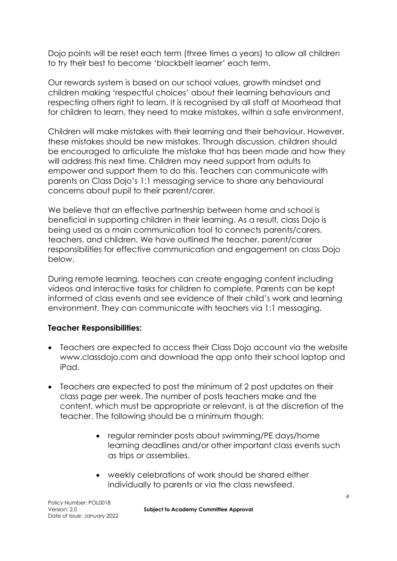Dojo points will be reset each term (three times a years) to allow all children to try their best to become 'blackbelt learner' each term.

Our rewards system is based on our school values, growth mindset and children making 'respectful choices' about their learning behaviours and respecting others right to learn. It is recognised by all staff at Moorhead that for children to learn, they need to make mistakes, within a safe environment.

Children will make mistakes with their learning and their behaviour. However, these mistakes should be new mistakes. Through discussion, children should be encouraged to articulate the mistake that has been made and how they will address this next time. Children may need support from adults to empower and support them to do this. Teachers can communicate with parents on Class Dojo's 1:1 messaging service to share any behavioural concerns about pupil to their parent/carer.

We believe that an effective partnership between home and school is beneficial in supporting children in their learning. As a result, class Dojo is being used as a main communication tool to connects parents/carers, teachers, and children. We have outlined the teacher, parent/carer responsibilities for effective communication and engagement on class Dojo below.

During remote learning, teachers can create engaging content including videos and interactive tasks for children to complete. Parents can be kept informed of class events and see evidence of their child's work and learning environment. They can communicate with teachers via 1:1 messaging.

## **Teacher Responsibilities:**

- Teachers are expected to access their Class Dojo account via the website www.classdojo.com and download the app onto their school laptop and iPad.
- Teachers are expected to post the minimum of 2 post updates on their class page per week. The number of posts teachers make and the content, which must be appropriate or relevant, is at the discretion of the teacher. The following should be a minimum though:
	- regular reminder posts about swimming/PE days/home learning deadlines and/or other important class events such as trips or assemblies.
	- weekly celebrations of work should be shared either individually to parents or via the class newsfeed.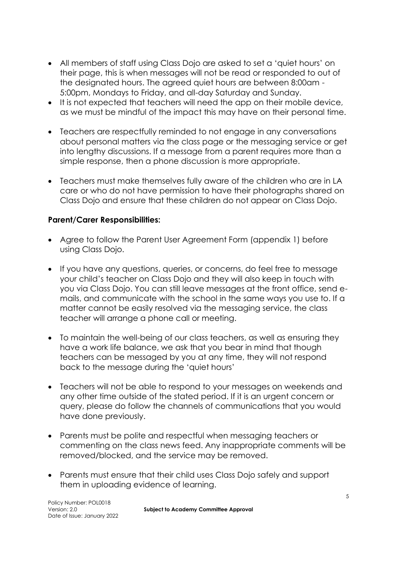- All members of staff using Class Dojo are asked to set a 'quiet hours' on their page, this is when messages will not be read or responded to out of the designated hours. The agreed quiet hours are between 8:00am - 5:00pm, Mondays to Friday, and all-day Saturday and Sunday.
- It is not expected that teachers will need the app on their mobile device, as we must be mindful of the impact this may have on their personal time.
- Teachers are respectfully reminded to not engage in any conversations about personal matters via the class page or the messaging service or get into lengthy discussions. If a message from a parent requires more than a simple response, then a phone discussion is more appropriate.
- Teachers must make themselves fully aware of the children who are in LA care or who do not have permission to have their photographs shared on Class Dojo and ensure that these children do not appear on Class Dojo.

## **Parent/Carer Responsibilities:**

- Agree to follow the Parent User Agreement Form (appendix 1) before using Class Dojo.
- If you have any questions, queries, or concerns, do feel free to message your child's teacher on Class Dojo and they will also keep in touch with you via Class Dojo. You can still leave messages at the front office, send emails, and communicate with the school in the same ways you use to. If a matter cannot be easily resolved via the messaging service, the class teacher will arrange a phone call or meeting.
- To maintain the well-being of our class teachers, as well as ensuring they have a work life balance, we ask that you bear in mind that though teachers can be messaged by you at any time, they will not respond back to the message during the 'quiet hours'
- Teachers will not be able to respond to your messages on weekends and any other time outside of the stated period. If it is an urgent concern or query, please do follow the channels of communications that you would have done previously.
- Parents must be polite and respectful when messaging teachers or commenting on the class news feed. Any inappropriate comments will be removed/blocked, and the service may be removed.
- Parents must ensure that their child uses Class Dojo safely and support them in uploading evidence of learning.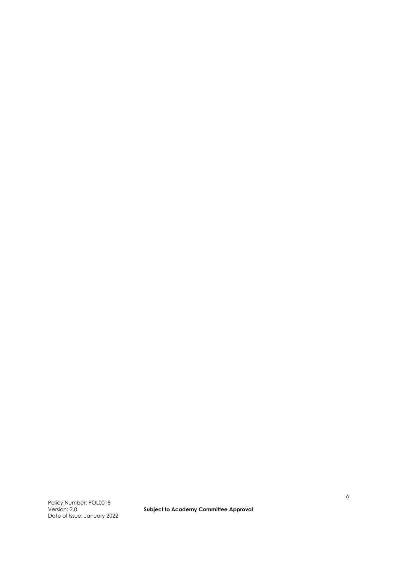Policy Number: POL0018 Date of Issue: January 2022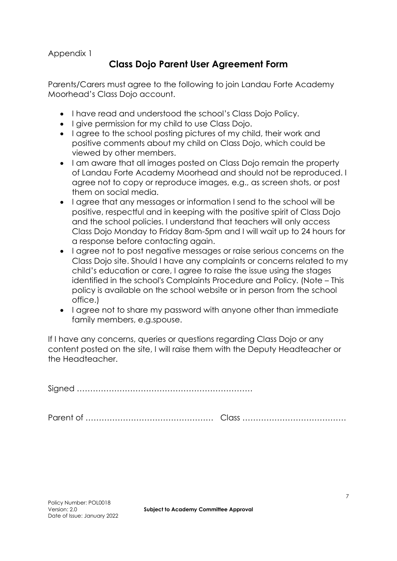Appendix 1

## **Class Dojo Parent User Agreement Form**

Parents/Carers must agree to the following to join Landau Forte Academy Moorhead's Class Dojo account.

- I have read and understood the school's Class Dojo Policy.
- I give permission for my child to use Class Dojo.
- I agree to the school posting pictures of my child, their work and positive comments about my child on Class Dojo, which could be viewed by other members.
- I am aware that all images posted on Class Dojo remain the property of Landau Forte Academy Moorhead and should not be reproduced. I agree not to copy or reproduce images, e.g., as screen shots, or post them on social media.
- I agree that any messages or information I send to the school will be positive, respectful and in keeping with the positive spirit of Class Dojo and the school policies. I understand that teachers will only access Class Dojo Monday to Friday 8am-5pm and I will wait up to 24 hours for a response before contacting again.
- I agree not to post negative messages or raise serious concerns on the Class Dojo site. Should I have any complaints or concerns related to my child's education or care, I agree to raise the issue using the stages identified in the school's Complaints Procedure and Policy. (Note – This policy is available on the school website or in person from the school office.)
- I agree not to share my password with anyone other than immediate family members, e.g.spouse.

If I have any concerns, queries or questions regarding Class Dojo or any content posted on the site, I will raise them with the Deputy Headteacher or the Headteacher.

Signed …………………………………………………………

Parent of ………………………………………… Class …………………………………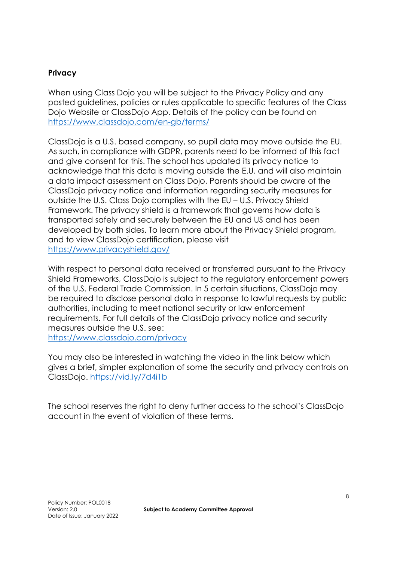## **Privacy**

When using Class Dojo you will be subject to the Privacy Policy and any posted guidelines, policies or rules applicable to specific features of the Class Dojo Website or ClassDojo App. Details of the policy can be found on <https://www.classdojo.com/en-gb/terms/>

ClassDojo is a U.S. based company, so pupil data may move outside the EU. As such, in compliance with GDPR, parents need to be informed of this fact and give consent for this. The school has updated its privacy notice to acknowledge that this data is moving outside the E.U. and will also maintain a data impact assessment on Class Dojo. Parents should be aware of the ClassDojo privacy notice and information regarding security measures for outside the U.S. Class Dojo complies with the EU – U.S. Privacy Shield Framework. The privacy shield is a framework that governs how data is transported safely and securely between the EU and US and has been developed by both sides. To learn more about the Privacy Shield program, and to view ClassDojo certification, please visit <https://www.privacyshield.gov/>

With respect to personal data received or transferred pursuant to the Privacy Shield Frameworks, ClassDojo is subject to the regulatory enforcement powers of the U.S. Federal Trade Commission. In 5 certain situations, ClassDojo may be required to disclose personal data in response to lawful requests by public authorities, including to meet national security or law enforcement requirements. For full details of the ClassDojo privacy notice and security measures outside the U.S. see:

<https://www.classdojo.com/privacy>

You may also be interested in watching the video in the link below which gives a brief, simpler explanation of some the security and privacy controls on ClassDojo.<https://vid.ly/7d4i1b>

The school reserves the right to deny further access to the school's ClassDojo account in the event of violation of these terms.